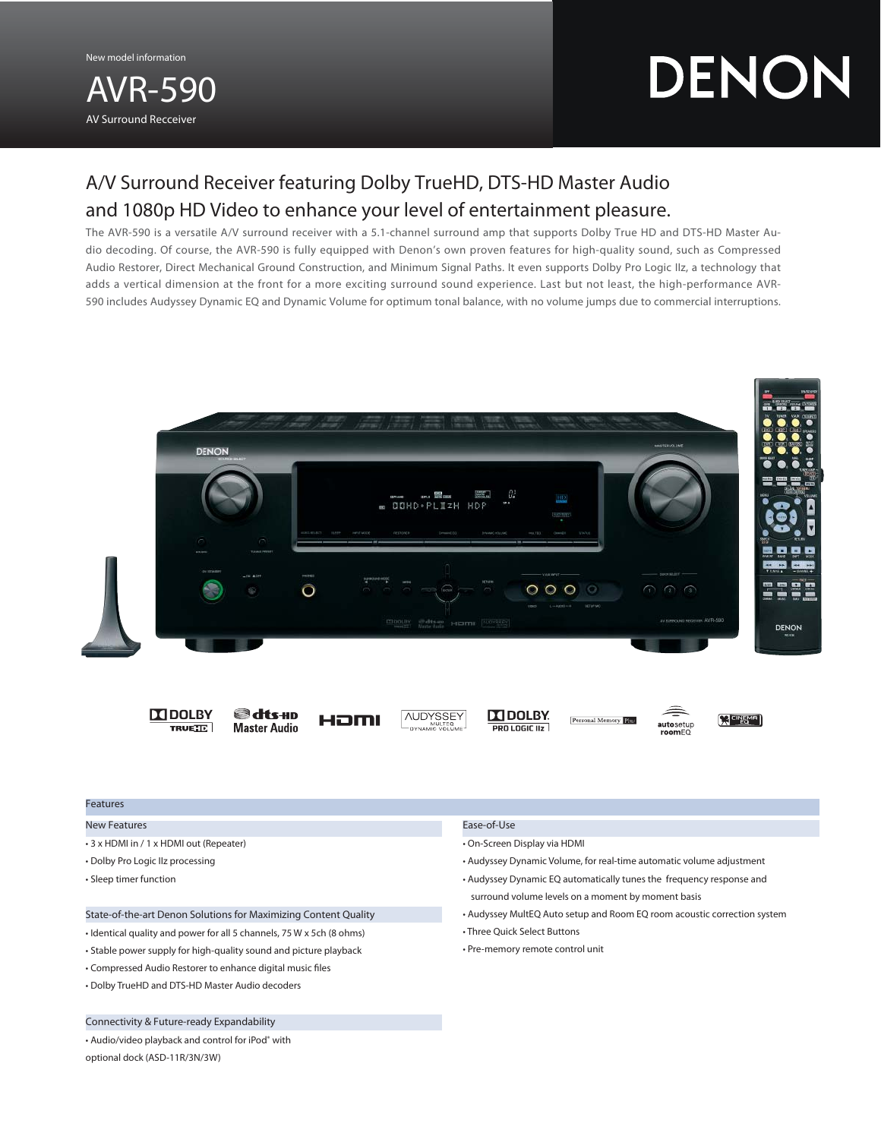New model information

# AVR-590 AV Surround Recceiver

# DENON

# A/V Surround Receiver featuring Dolby TrueHD, DTS-HD Master Audio and 1080p HD Video to enhance your level of entertainment pleasure.

The AVR-590 is a versatile A/V surround receiver with a 5.1-channel surround amp that supports Dolby True HD and DTS-HD Master Audio decoding. Of course, the AVR-590 is fully equipped with Denon's own proven features for high-quality sound, such as Compressed Audio Restorer, Direct Mechanical Ground Construction, and Minimum Signal Paths. It even supports Dolby Pro Logic IIz, a technology that adds a vertical dimension at the front for a more exciting surround sound experience. Last but not least, the high-performance AVR-590 includes Audyssey Dynamic EQ and Dynamic Volume for optimum tonal balance, with no volume jumps due to commercial interruptions.



 $\Box$  DOLBY **TRUETE** 







**IN DOLBY** PRO LOGIC IIz





autosetup<br>roomEQ

### Features

# New Features

- 3 x HDMI in / 1 x HDMI out (Repeater)
- Dolby Pro Logic IIz processing
- Sleep timer function

# State-of-the-art Denon Solutions for Maximizing Content Quality

- Identical quality and power for all 5 channels, 75 W x 5ch (8 ohms)
- Stable power supply for high-quality sound and picture playback
- Compressed Audio Restorer to enhance digital music files
- Dolby TrueHD and DTS-HD Master Audio decoders

# Connectivity & Future-ready Expandability

• Audio/video playback and control for iPod® with optional dock (ASD-11R/3N/3W)

#### Ease-of-Use

- On-Screen Display via HDMI
- Audyssey Dynamic Volume, for real-time automatic volume adjustment
- Audyssey Dynamic EQ automatically tunes the frequency response and surround volume levels on a moment by moment basis
- Audyssey MultEQ Auto setup and Room EQ room acoustic correction system
- Three Quick Select Buttons
- Pre-memory remote control unit